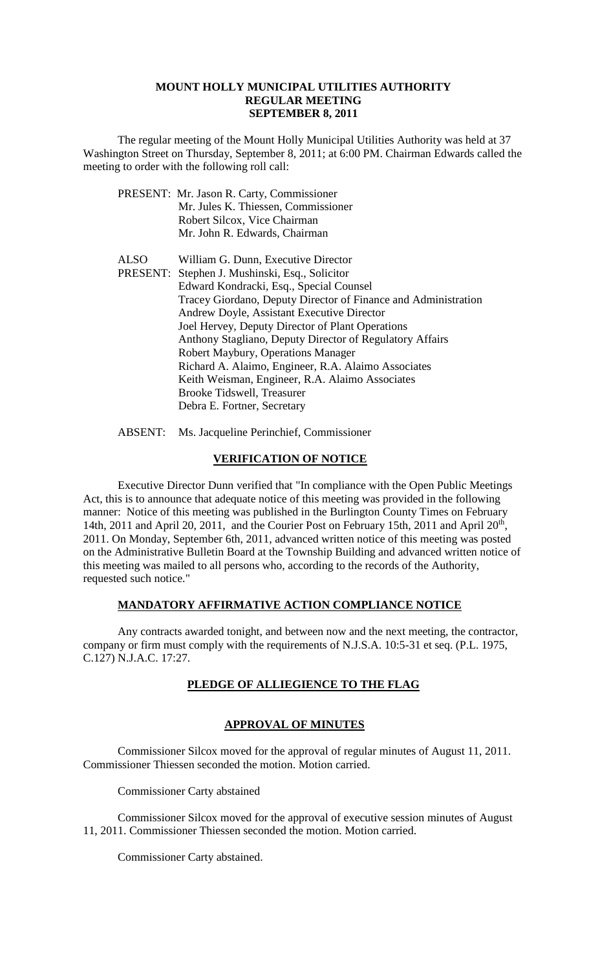#### **MOUNT HOLLY MUNICIPAL UTILITIES AUTHORITY REGULAR MEETING SEPTEMBER 8, 2011**

The regular meeting of the Mount Holly Municipal Utilities Authority was held at 37 Washington Street on Thursday, September 8, 2011; at 6:00 PM. Chairman Edwards called the meeting to order with the following roll call:

|      | PRESENT: Mr. Jason R. Carty, Commissioner                      |
|------|----------------------------------------------------------------|
|      | Mr. Jules K. Thiessen, Commissioner                            |
|      | Robert Silcox, Vice Chairman                                   |
|      | Mr. John R. Edwards, Chairman                                  |
| ALSO | William G. Dunn, Executive Director                            |
|      | PRESENT: Stephen J. Mushinski, Esq., Solicitor                 |
|      | Edward Kondracki, Esq., Special Counsel                        |
|      | Tracey Giordano, Deputy Director of Finance and Administration |
|      | Andrew Doyle, Assistant Executive Director                     |
|      | Joel Hervey, Deputy Director of Plant Operations               |
|      | Anthony Stagliano, Deputy Director of Regulatory Affairs       |
|      | Robert Maybury, Operations Manager                             |
|      | Richard A. Alaimo, Engineer, R.A. Alaimo Associates            |
|      | Keith Weisman, Engineer, R.A. Alaimo Associates                |
|      | <b>Brooke Tidswell, Treasurer</b>                              |
|      | Debra E. Fortner, Secretary                                    |
|      |                                                                |

ABSENT: Ms. Jacqueline Perinchief, Commissioner

# **VERIFICATION OF NOTICE**

Executive Director Dunn verified that "In compliance with the Open Public Meetings Act, this is to announce that adequate notice of this meeting was provided in the following manner: Notice of this meeting was published in the Burlington County Times on February 14th, 2011 and April 20, 2011, and the Courier Post on February 15th, 2011 and April 20<sup>th</sup>, 2011. On Monday, September 6th, 2011, advanced written notice of this meeting was posted on the Administrative Bulletin Board at the Township Building and advanced written notice of this meeting was mailed to all persons who, according to the records of the Authority, requested such notice."

# **MANDATORY AFFIRMATIVE ACTION COMPLIANCE NOTICE**

Any contracts awarded tonight, and between now and the next meeting, the contractor, company or firm must comply with the requirements of N.J.S.A. 10:5-31 et seq. (P.L. 1975, C.127) N.J.A.C. 17:27.

# **PLEDGE OF ALLIEGIENCE TO THE FLAG**

# **APPROVAL OF MINUTES**

Commissioner Silcox moved for the approval of regular minutes of August 11, 2011. Commissioner Thiessen seconded the motion. Motion carried.

Commissioner Carty abstained

Commissioner Silcox moved for the approval of executive session minutes of August 11, 2011. Commissioner Thiessen seconded the motion. Motion carried.

Commissioner Carty abstained.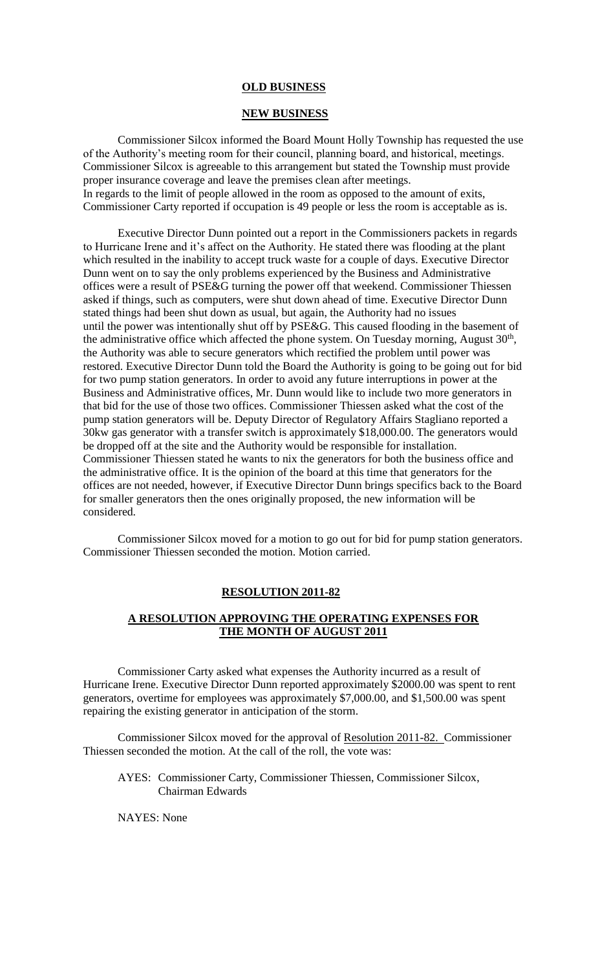#### **OLD BUSINESS**

#### **NEW BUSINESS**

Commissioner Silcox informed the Board Mount Holly Township has requested the use of the Authority's meeting room for their council, planning board, and historical, meetings. Commissioner Silcox is agreeable to this arrangement but stated the Township must provide proper insurance coverage and leave the premises clean after meetings. In regards to the limit of people allowed in the room as opposed to the amount of exits, Commissioner Carty reported if occupation is 49 people or less the room is acceptable as is.

Executive Director Dunn pointed out a report in the Commissioners packets in regards to Hurricane Irene and it's affect on the Authority. He stated there was flooding at the plant which resulted in the inability to accept truck waste for a couple of days. Executive Director Dunn went on to say the only problems experienced by the Business and Administrative offices were a result of PSE&G turning the power off that weekend. Commissioner Thiessen asked if things, such as computers, were shut down ahead of time. Executive Director Dunn stated things had been shut down as usual, but again, the Authority had no issues until the power was intentionally shut off by PSE&G. This caused flooding in the basement of the administrative office which affected the phone system. On Tuesday morning, August  $30<sup>th</sup>$ , the Authority was able to secure generators which rectified the problem until power was restored. Executive Director Dunn told the Board the Authority is going to be going out for bid for two pump station generators. In order to avoid any future interruptions in power at the Business and Administrative offices, Mr. Dunn would like to include two more generators in that bid for the use of those two offices. Commissioner Thiessen asked what the cost of the pump station generators will be. Deputy Director of Regulatory Affairs Stagliano reported a 30kw gas generator with a transfer switch is approximately \$18,000.00. The generators would be dropped off at the site and the Authority would be responsible for installation. Commissioner Thiessen stated he wants to nix the generators for both the business office and the administrative office. It is the opinion of the board at this time that generators for the offices are not needed, however, if Executive Director Dunn brings specifics back to the Board for smaller generators then the ones originally proposed, the new information will be considered.

Commissioner Silcox moved for a motion to go out for bid for pump station generators. Commissioner Thiessen seconded the motion. Motion carried.

#### **RESOLUTION 2011-82**

# **A RESOLUTION APPROVING THE OPERATING EXPENSES FOR THE MONTH OF AUGUST 2011**

Commissioner Carty asked what expenses the Authority incurred as a result of Hurricane Irene. Executive Director Dunn reported approximately \$2000.00 was spent to rent generators, overtime for employees was approximately \$7,000.00, and \$1,500.00 was spent repairing the existing generator in anticipation of the storm.

Commissioner Silcox moved for the approval of Resolution 2011-82. Commissioner Thiessen seconded the motion. At the call of the roll, the vote was:

AYES: Commissioner Carty, Commissioner Thiessen, Commissioner Silcox, Chairman Edwards

NAYES: None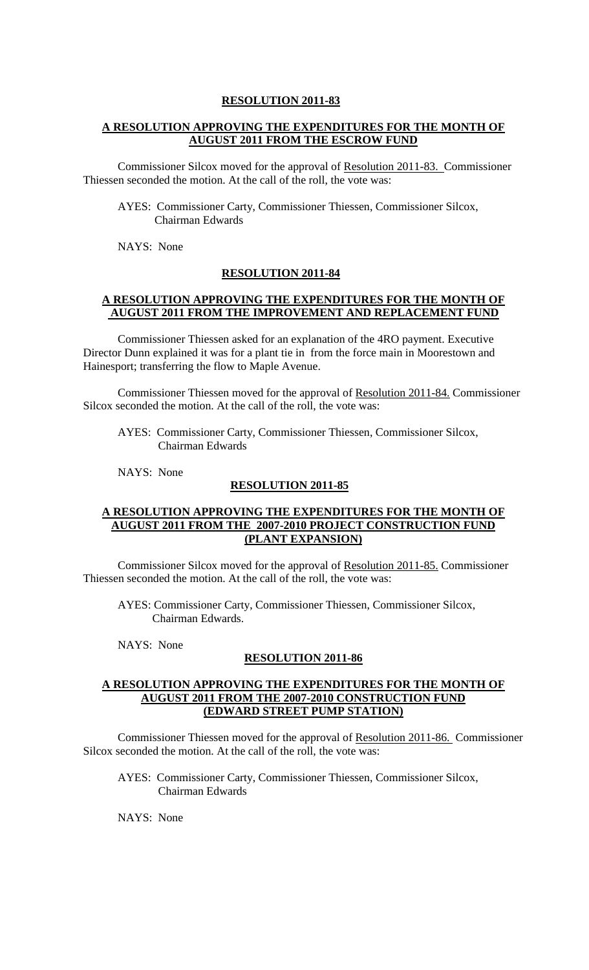#### **RESOLUTION 2011-83**

# **A RESOLUTION APPROVING THE EXPENDITURES FOR THE MONTH OF AUGUST 2011 FROM THE ESCROW FUND**

Commissioner Silcox moved for the approval of Resolution 2011-83. Commissioner Thiessen seconded the motion. At the call of the roll, the vote was:

AYES: Commissioner Carty, Commissioner Thiessen, Commissioner Silcox, Chairman Edwards

NAYS: None

### **RESOLUTION 2011-84**

### **A RESOLUTION APPROVING THE EXPENDITURES FOR THE MONTH OF AUGUST 2011 FROM THE IMPROVEMENT AND REPLACEMENT FUND**

Commissioner Thiessen asked for an explanation of the 4RO payment. Executive Director Dunn explained it was for a plant tie in from the force main in Moorestown and Hainesport; transferring the flow to Maple Avenue.

Commissioner Thiessen moved for the approval of Resolution 2011-84. Commissioner Silcox seconded the motion. At the call of the roll, the vote was:

AYES: Commissioner Carty, Commissioner Thiessen, Commissioner Silcox, Chairman Edwards

NAYS: None

#### **RESOLUTION 2011-85**

### **A RESOLUTION APPROVING THE EXPENDITURES FOR THE MONTH OF AUGUST 2011 FROM THE 2007-2010 PROJECT CONSTRUCTION FUND (PLANT EXPANSION)**

Commissioner Silcox moved for the approval of Resolution 2011-85. Commissioner Thiessen seconded the motion. At the call of the roll, the vote was:

AYES: Commissioner Carty, Commissioner Thiessen, Commissioner Silcox, Chairman Edwards.

NAYS: None

# **RESOLUTION 2011-86**

### **A RESOLUTION APPROVING THE EXPENDITURES FOR THE MONTH OF AUGUST 2011 FROM THE 2007-2010 CONSTRUCTION FUND (EDWARD STREET PUMP STATION)**

Commissioner Thiessen moved for the approval of Resolution 2011-86. Commissioner Silcox seconded the motion. At the call of the roll, the vote was:

AYES: Commissioner Carty, Commissioner Thiessen, Commissioner Silcox, Chairman Edwards

NAYS: None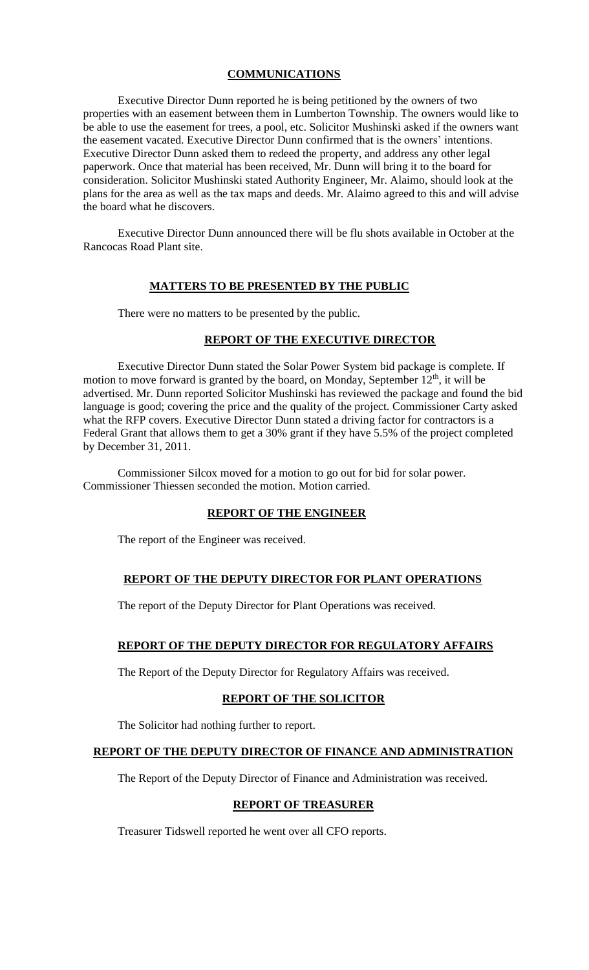# **COMMUNICATIONS**

Executive Director Dunn reported he is being petitioned by the owners of two properties with an easement between them in Lumberton Township. The owners would like to be able to use the easement for trees, a pool, etc. Solicitor Mushinski asked if the owners want the easement vacated. Executive Director Dunn confirmed that is the owners' intentions. Executive Director Dunn asked them to redeed the property, and address any other legal paperwork. Once that material has been received, Mr. Dunn will bring it to the board for consideration. Solicitor Mushinski stated Authority Engineer, Mr. Alaimo, should look at the plans for the area as well as the tax maps and deeds. Mr. Alaimo agreed to this and will advise the board what he discovers.

Executive Director Dunn announced there will be flu shots available in October at the Rancocas Road Plant site.

### **MATTERS TO BE PRESENTED BY THE PUBLIC**

There were no matters to be presented by the public.

# **REPORT OF THE EXECUTIVE DIRECTOR**

Executive Director Dunn stated the Solar Power System bid package is complete. If motion to move forward is granted by the board, on Monday, September  $12<sup>th</sup>$ , it will be advertised. Mr. Dunn reported Solicitor Mushinski has reviewed the package and found the bid language is good; covering the price and the quality of the project. Commissioner Carty asked what the RFP covers. Executive Director Dunn stated a driving factor for contractors is a Federal Grant that allows them to get a 30% grant if they have 5.5% of the project completed by December 31, 2011.

Commissioner Silcox moved for a motion to go out for bid for solar power. Commissioner Thiessen seconded the motion. Motion carried.

### **REPORT OF THE ENGINEER**

The report of the Engineer was received.

# **REPORT OF THE DEPUTY DIRECTOR FOR PLANT OPERATIONS**

The report of the Deputy Director for Plant Operations was received.

# **REPORT OF THE DEPUTY DIRECTOR FOR REGULATORY AFFAIRS**

The Report of the Deputy Director for Regulatory Affairs was received.

# **REPORT OF THE SOLICITOR**

The Solicitor had nothing further to report.

### **REPORT OF THE DEPUTY DIRECTOR OF FINANCE AND ADMINISTRATION**

The Report of the Deputy Director of Finance and Administration was received.

# **REPORT OF TREASURER**

Treasurer Tidswell reported he went over all CFO reports.